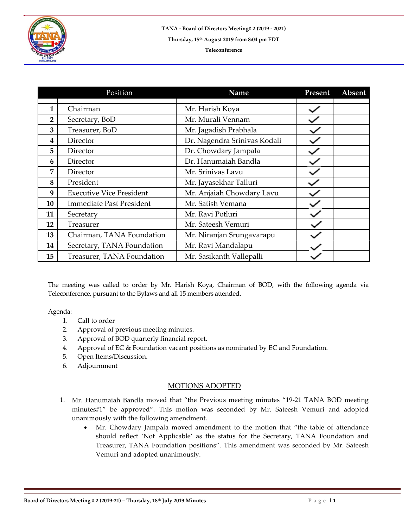

## **Teleconference**

|                | Position                        | Name                         | Present | Absent |
|----------------|---------------------------------|------------------------------|---------|--------|
| 1              | Chairman                        | Mr. Harish Koya              |         |        |
| $\overline{2}$ | Secretary, BoD                  | Mr. Murali Vennam            |         |        |
| 3              | Treasurer, BoD                  | Mr. Jagadish Prabhala        |         |        |
| 4              | Director                        | Dr. Nagendra Srinivas Kodali |         |        |
| 5              | Director                        | Dr. Chowdary Jampala         |         |        |
| 6              | Director                        | Dr. Hanumaiah Bandla         |         |        |
| 7              | Director                        | Mr. Srinivas Lavu            |         |        |
| 8              | President                       | Mr. Jayasekhar Talluri       |         |        |
| 9              | <b>Executive Vice President</b> | Mr. Anjaiah Chowdary Lavu    |         |        |
| 10             | <b>Immediate Past President</b> | Mr. Satish Vemana            |         |        |
| 11             | Secretary                       | Mr. Ravi Potluri             |         |        |
| 12             | Treasurer                       | Mr. Sateesh Vemuri           |         |        |
| 13             | Chairman, TANA Foundation       | Mr. Niranjan Srungavarapu    |         |        |
| 14             | Secretary, TANA Foundation      | Mr. Ravi Mandalapu           |         |        |
| 15             | Treasurer, TANA Foundation      | Mr. Sasikanth Vallepalli     |         |        |

The meeting was called to order by Mr. Harish Koya, Chairman of BOD, with the following agenda via Teleconference, pursuant to the Bylaws and all 15 members attended.

Agenda:

- 1. Call to order
- 2. Approval of previous meeting minutes.
- 3. Approval of BOD quarterly financial report.
- 4. Approval of EC & Foundation vacant positions as nominated by EC and Foundation.
- 5. Open Items/Discussion.
- 6. Adjournment

## MOTIONS ADOPTED

- 1. Mr. Hanumaiah Bandla moved that "the Previous meeting minutes "19-21 TANA BOD meeting minutes#1" be approved". This motion was seconded by Mr. Sateesh Vemuri and adopted unanimously with the following amendment.
	- Mr. Chowdary Jampala moved amendment to the motion that "the table of attendance should reflect 'Not Applicable' as the status for the Secretary, TANA Foundation and Treasurer, TANA Foundation positions". This amendment was seconded by Mr. Sateesh Vemuri and adopted unanimously.